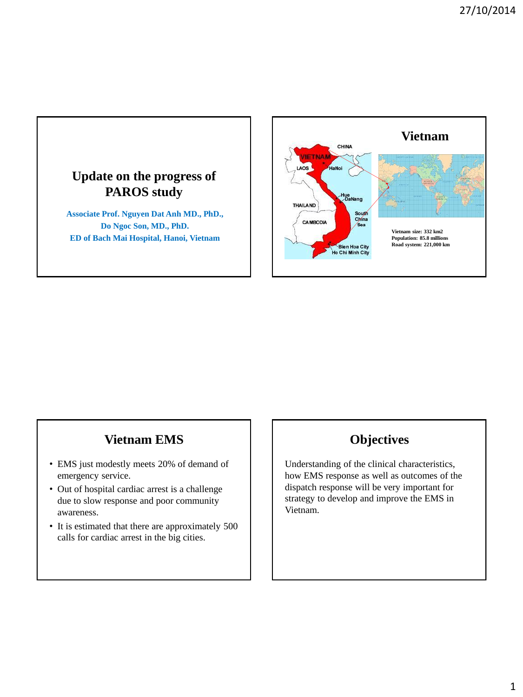

## **Vietnam EMS**

- EMS just modestly meets 20% of demand of emergency service.
- Out of hospital cardiac arrest is a challenge due to slow response and poor community awareness.
- It is estimated that there are approximately 500 calls for cardiac arrest in the big cities.

### **Objectives**

Understanding of the clinical characteristics, how EMS response as well as outcomes of the dispatch response will be very important for strategy to develop and improve the EMS in Vietnam.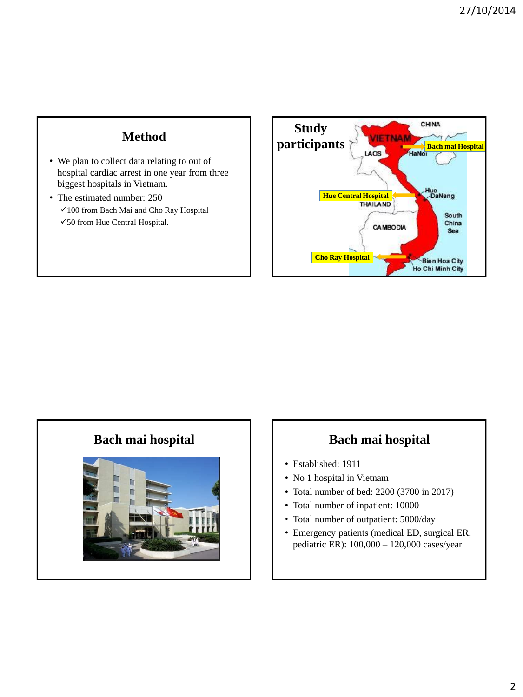## **Method**

- We plan to collect data relating to out of hospital cardiac arrest in one year from three biggest hospitals in Vietnam.
- The estimated number: 250 100 from Bach Mai and Cho Ray Hospital 50 from Hue Central Hospital.





## **Bach mai hospital Bach mai hospital**

- Established: 1911
- No 1 hospital in Vietnam
- Total number of bed: 2200 (3700 in 2017)
- Total number of inpatient: 10000
- Total number of outpatient: 5000/day
- Emergency patients (medical ED, surgical ER, pediatric ER): 100,000 – 120,000 cases/year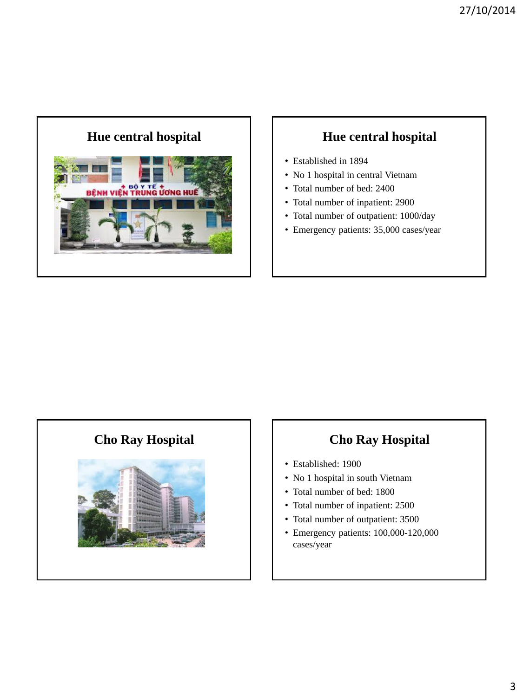# **Hue central hospital Hue central hospital**



- Established in 1894
- No 1 hospital in central Vietnam
- Total number of bed: 2400
- Total number of inpatient: 2900
- Total number of outpatient: 1000/day
- Emergency patients: 35,000 cases/year



## **Cho Ray Hospital Cho Ray Hospital**

- Established: 1900
- No 1 hospital in south Vietnam
- Total number of bed: 1800
- Total number of inpatient: 2500
- Total number of outpatient: 3500
- Emergency patients: 100,000-120,000 cases/year